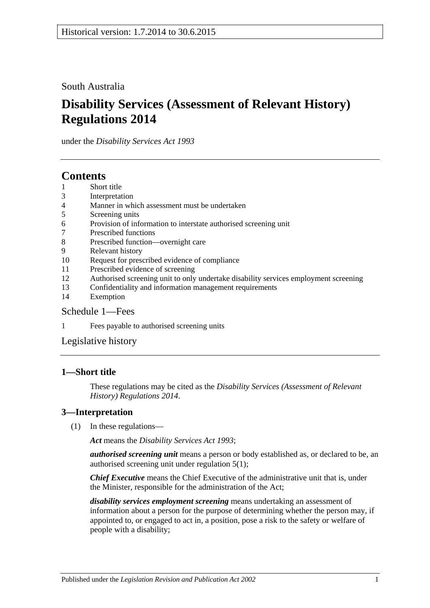South Australia

# **Disability Services (Assessment of Relevant History) Regulations 2014**

under the *Disability Services Act 1993*

# **Contents**

- 1 [Short title](#page-0-0)
- 3 [Interpretation](#page-0-1)
- 4 [Manner in which assessment must be undertaken](#page-1-0)
- 5 [Screening units](#page-1-1)
- 6 [Provision of information to interstate authorised screening unit](#page-1-2)
- 7 [Prescribed functions](#page-1-3)
- 8 [Prescribed function—overnight care](#page-2-0)
- 9 [Relevant history](#page-2-1)
- 10 [Request for prescribed evidence of compliance](#page-2-2)
- 11 [Prescribed evidence of screening](#page-3-0)
- 12 [Authorised screening unit to only undertake disability services employment screening](#page-3-1)
- 13 [Confidentiality and information management requirements](#page-3-2)
- 14 [Exemption](#page-4-0)

### [Schedule](#page-4-1) 1—Fees

1 Fees [payable to authorised screening units](#page-4-2)

[Legislative history](#page-6-0)

### <span id="page-0-0"></span>**1—Short title**

These regulations may be cited as the *Disability Services (Assessment of Relevant History) Regulations 2014*.

### <span id="page-0-1"></span>**3—Interpretation**

(1) In these regulations—

*Act* means the *[Disability Services Act](http://www.legislation.sa.gov.au/index.aspx?action=legref&type=act&legtitle=Disability%20Services%20Act%201993) 1993*;

*authorised screening unit* means a person or body established as, or declared to be, an authorised screening unit under [regulation](#page-1-4) 5(1);

*Chief Executive* means the Chief Executive of the administrative unit that is, under the Minister, responsible for the administration of the Act;

*disability services employment screening* means undertaking an assessment of information about a person for the purpose of determining whether the person may, if appointed to, or engaged to act in, a position, pose a risk to the safety or welfare of people with a disability;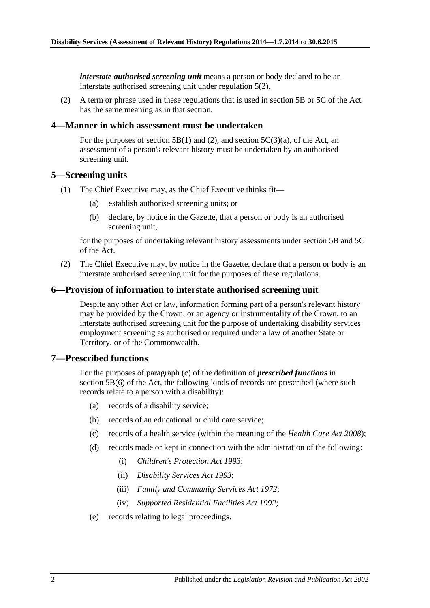*interstate authorised screening unit* means a person or body declared to be an interstate authorised screening unit under [regulation](#page-1-5) 5(2).

(2) A term or phrase used in these regulations that is used in section 5B or 5C of the Act has the same meaning as in that section.

#### <span id="page-1-0"></span>**4—Manner in which assessment must be undertaken**

For the purposes of section 5B(1) and (2), and section  $5C(3)(a)$ , of the Act, an assessment of a person's relevant history must be undertaken by an authorised screening unit.

#### <span id="page-1-4"></span><span id="page-1-1"></span>**5—Screening units**

- <span id="page-1-6"></span>(1) The Chief Executive may, as the Chief Executive thinks fit—
	- (a) establish authorised screening units; or
	- (b) declare, by notice in the Gazette, that a person or body is an authorised screening unit,

for the purposes of undertaking relevant history assessments under section 5B and 5C of the Act.

<span id="page-1-5"></span>(2) The Chief Executive may, by notice in the Gazette, declare that a person or body is an interstate authorised screening unit for the purposes of these regulations.

#### <span id="page-1-2"></span>**6—Provision of information to interstate authorised screening unit**

Despite any other Act or law, information forming part of a person's relevant history may be provided by the Crown, or an agency or instrumentality of the Crown, to an interstate authorised screening unit for the purpose of undertaking disability services employment screening as authorised or required under a law of another State or Territory, or of the Commonwealth.

#### <span id="page-1-3"></span>**7—Prescribed functions**

For the purposes of paragraph (c) of the definition of *prescribed functions* in section 5B(6) of the Act, the following kinds of records are prescribed (where such records relate to a person with a disability):

- (a) records of a disability service;
- (b) records of an educational or child care service;
- (c) records of a health service (within the meaning of the *[Health Care Act](http://www.legislation.sa.gov.au/index.aspx?action=legref&type=act&legtitle=Health%20Care%20Act%202008) 2008*);
- (d) records made or kept in connection with the administration of the following:
	- (i) *[Children's Protection Act](http://www.legislation.sa.gov.au/index.aspx?action=legref&type=act&legtitle=Childrens%20Protection%20Act%201993) 1993*;
	- (ii) *[Disability Services Act](http://www.legislation.sa.gov.au/index.aspx?action=legref&type=act&legtitle=Disability%20Services%20Act%201993) 1993*;
	- (iii) *Family [and Community Services Act](http://www.legislation.sa.gov.au/index.aspx?action=legref&type=act&legtitle=Family%20and%20Community%20Services%20Act%201972) 1972*;
	- (iv) *[Supported Residential Facilities Act](http://www.legislation.sa.gov.au/index.aspx?action=legref&type=act&legtitle=Supported%20Residential%20Facilities%20Act%201992) 1992*;
- (e) records relating to legal proceedings.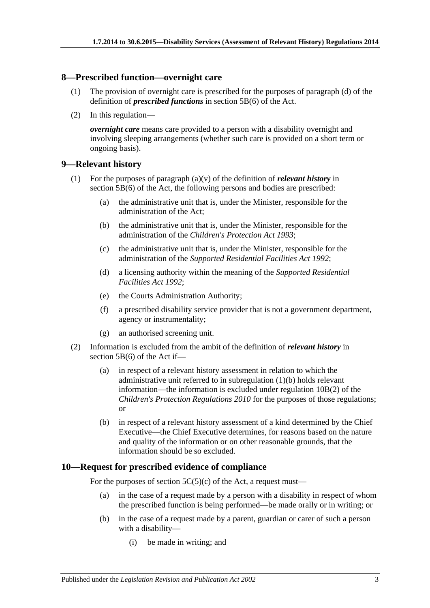#### <span id="page-2-0"></span>**8—Prescribed function—overnight care**

- (1) The provision of overnight care is prescribed for the purposes of paragraph (d) of the definition of *prescribed functions* in section 5B(6) of the Act.
- (2) In this regulation—

*overnight care* means care provided to a person with a disability overnight and involving sleeping arrangements (whether such care is provided on a short term or ongoing basis).

#### <span id="page-2-1"></span>**9—Relevant history**

- <span id="page-2-3"></span>(1) For the purposes of paragraph (a)(v) of the definition of *relevant history* in section 5B(6) of the Act, the following persons and bodies are prescribed:
	- (a) the administrative unit that is, under the Minister, responsible for the administration of the Act;
	- (b) the administrative unit that is, under the Minister, responsible for the administration of the *[Children's Protection Act](http://www.legislation.sa.gov.au/index.aspx?action=legref&type=act&legtitle=Childrens%20Protection%20Act%201993) 1993*;
	- (c) the administrative unit that is, under the Minister, responsible for the administration of the *[Supported Residential Facilities Act](http://www.legislation.sa.gov.au/index.aspx?action=legref&type=act&legtitle=Supported%20Residential%20Facilities%20Act%201992) 1992*;
	- (d) a licensing authority within the meaning of the *[Supported Residential](http://www.legislation.sa.gov.au/index.aspx?action=legref&type=act&legtitle=Supported%20Residential%20Facilities%20Act%201992)  [Facilities Act](http://www.legislation.sa.gov.au/index.aspx?action=legref&type=act&legtitle=Supported%20Residential%20Facilities%20Act%201992) 1992*;
	- (e) the Courts Administration Authority;
	- (f) a prescribed disability service provider that is not a government department, agency or instrumentality;
	- (g) an authorised screening unit.
- (2) Information is excluded from the ambit of the definition of *relevant history* in section 5B(6) of the Act if—
	- (a) in respect of a relevant history assessment in relation to which the administrative unit referred to in [subregulation](#page-2-3) (1)(b) holds relevant information—the information is excluded under regulation 10B(2) of the *[Children's Protection Regulations](http://www.legislation.sa.gov.au/index.aspx?action=legref&type=subordleg&legtitle=Childrens%20Protection%20Regulations%202010) 2010* for the purposes of those regulations; or
	- (b) in respect of a relevant history assessment of a kind determined by the Chief Executive—the Chief Executive determines, for reasons based on the nature and quality of the information or on other reasonable grounds, that the information should be so excluded.

#### <span id="page-2-2"></span>**10—Request for prescribed evidence of compliance**

For the purposes of section  $5C(5)(c)$  of the Act, a request must—

- (a) in the case of a request made by a person with a disability in respect of whom the prescribed function is being performed—be made orally or in writing; or
- (b) in the case of a request made by a parent, guardian or carer of such a person with a disability—
	- (i) be made in writing; and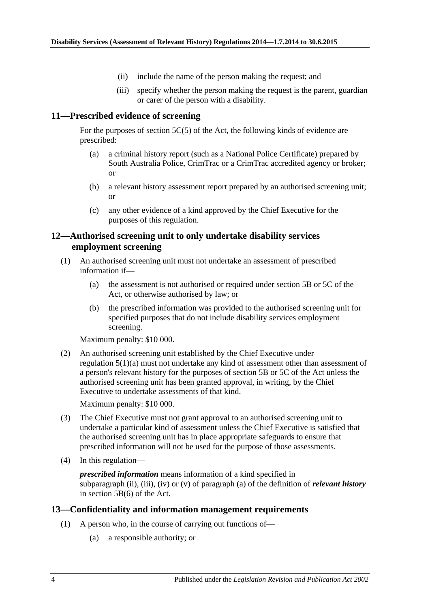- (ii) include the name of the person making the request; and
- (iii) specify whether the person making the request is the parent, guardian or carer of the person with a disability.

#### <span id="page-3-0"></span>**11—Prescribed evidence of screening**

For the purposes of section 5C(5) of the Act, the following kinds of evidence are prescribed:

- (a) a criminal history report (such as a National Police Certificate) prepared by South Australia Police, CrimTrac or a CrimTrac accredited agency or broker; or
- (b) a relevant history assessment report prepared by an authorised screening unit; or
- (c) any other evidence of a kind approved by the Chief Executive for the purposes of this regulation.

#### <span id="page-3-1"></span>**12—Authorised screening unit to only undertake disability services employment screening**

- (1) An authorised screening unit must not undertake an assessment of prescribed information if—
	- (a) the assessment is not authorised or required under section 5B or 5C of the Act, or otherwise authorised by law; or
	- (b) the prescribed information was provided to the authorised screening unit for specified purposes that do not include disability services employment screening.

Maximum penalty: \$10 000.

(2) An authorised screening unit established by the Chief Executive under [regulation](#page-1-6) 5(1)(a) must not undertake any kind of assessment other than assessment of a person's relevant history for the purposes of section 5B or 5C of the Act unless the authorised screening unit has been granted approval, in writing, by the Chief Executive to undertake assessments of that kind.

Maximum penalty: \$10 000.

- (3) The Chief Executive must not grant approval to an authorised screening unit to undertake a particular kind of assessment unless the Chief Executive is satisfied that the authorised screening unit has in place appropriate safeguards to ensure that prescribed information will not be used for the purpose of those assessments.
- (4) In this regulation—

*prescribed information* means information of a kind specified in subparagraph (ii), (iii), (iv) or (v) of paragraph (a) of the definition of *relevant history* in section 5B(6) of the Act.

#### <span id="page-3-2"></span>**13—Confidentiality and information management requirements**

- (1) A person who, in the course of carrying out functions of—
	- (a) a responsible authority; or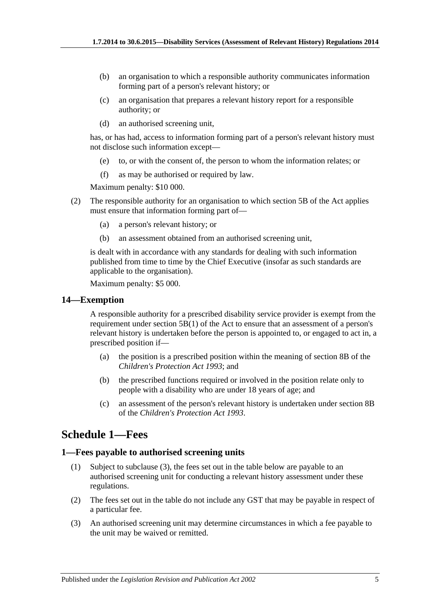- (b) an organisation to which a responsible authority communicates information forming part of a person's relevant history; or
- (c) an organisation that prepares a relevant history report for a responsible authority; or
- (d) an authorised screening unit,

has, or has had, access to information forming part of a person's relevant history must not disclose such information except—

- (e) to, or with the consent of, the person to whom the information relates; or
- (f) as may be authorised or required by law.

Maximum penalty: \$10 000.

- (2) The responsible authority for an organisation to which section 5B of the Act applies must ensure that information forming part of—
	- (a) a person's relevant history; or
	- (b) an assessment obtained from an authorised screening unit,

is dealt with in accordance with any standards for dealing with such information published from time to time by the Chief Executive (insofar as such standards are applicable to the organisation).

Maximum penalty: \$5 000.

#### <span id="page-4-0"></span>**14—Exemption**

A responsible authority for a prescribed disability service provider is exempt from the requirement under section 5B(1) of the Act to ensure that an assessment of a person's relevant history is undertaken before the person is appointed to, or engaged to act in, a prescribed position if—

- (a) the position is a prescribed position within the meaning of section 8B of the *[Children's Protection Act](http://www.legislation.sa.gov.au/index.aspx?action=legref&type=act&legtitle=Childrens%20Protection%20Act%201993) 1993*; and
- (b) the prescribed functions required or involved in the position relate only to people with a disability who are under 18 years of age; and
- (c) an assessment of the person's relevant history is undertaken under section 8B of the *[Children's Protection Act](http://www.legislation.sa.gov.au/index.aspx?action=legref&type=act&legtitle=Childrens%20Protection%20Act%201993) 1993*.

# <span id="page-4-1"></span>**Schedule 1—Fees**

#### <span id="page-4-2"></span>**1—Fees payable to authorised screening units**

- (1) Subject to [subclause](#page-4-3) (3), the fees set out in the table below are payable to an authorised screening unit for conducting a relevant history assessment under these regulations.
- (2) The fees set out in the table do not include any GST that may be payable in respect of a particular fee.
- <span id="page-4-3"></span>(3) An authorised screening unit may determine circumstances in which a fee payable to the unit may be waived or remitted.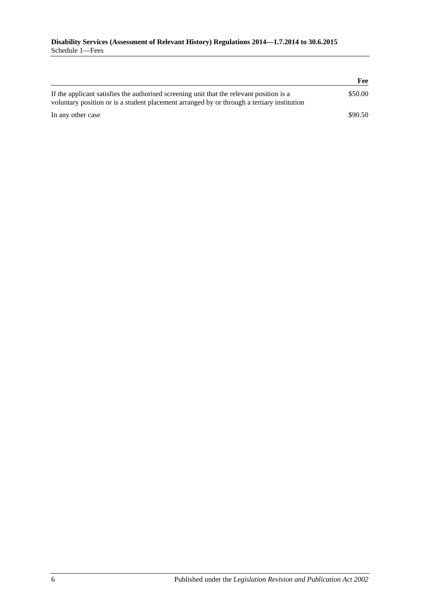|                                                                                                                                                                                        | Fee     |
|----------------------------------------------------------------------------------------------------------------------------------------------------------------------------------------|---------|
| If the applicant satisfies the authorised screening unit that the relevant position is a<br>voluntary position or is a student placement arranged by or through a tertiary institution | \$50.00 |
| In any other case                                                                                                                                                                      | \$90.50 |